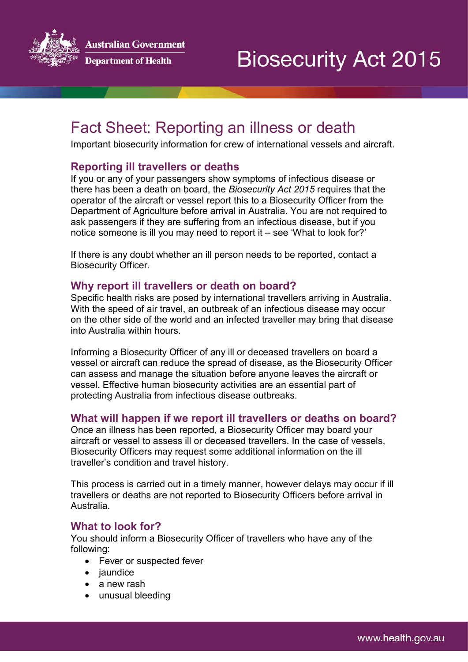

**wstralian Government** 



# Fact Sheet: Reporting an illness or death

Important biosecurity information for crew of international vessels and aircraft.

## **Reporting ill travellers or deaths**

If you or any of your passengers show symptoms of infectious disease or there has been a death on board, the *Biosecurity Act 2015* requires that the operator of the aircraft or vessel report this to a Biosecurity Officer from the Department of Agriculture before arrival in Australia. You are not required to ask passengers if they are suffering from an infectious disease, but if you notice someone is ill you may need to report it – see 'What to look for?'

If there is any doubt whether an ill person needs to be reported, contact a Biosecurity Officer.

#### **Why report ill travellers or death on board?**

Specific health risks are posed by international travellers arriving in Australia. With the speed of air travel, an outbreak of an infectious disease may occur on the other side of the world and an infected traveller may bring that disease into Australia within hours.

Informing a Biosecurity Officer of any ill or deceased travellers on board a vessel or aircraft can reduce the spread of disease, as the Biosecurity Officer can assess and manage the situation before anyone leaves the aircraft or vessel. Effective human biosecurity activities are an essential part of protecting Australia from infectious disease outbreaks.

## **What will happen if we report ill travellers or deaths on board?**

Once an illness has been reported, a Biosecurity Officer may board your aircraft or vessel to assess ill or deceased travellers. In the case of vessels, Biosecurity Officers may request some additional information on the ill traveller's condition and travel history.

This process is carried out in a timely manner, however delays may occur if ill travellers or deaths are not reported to Biosecurity Officers before arrival in Australia.

#### **What to look for?**

You should inform a Biosecurity Officer of travellers who have any of the following:

- Fever or suspected fever
- jaundice
- a new rash
- unusual bleeding